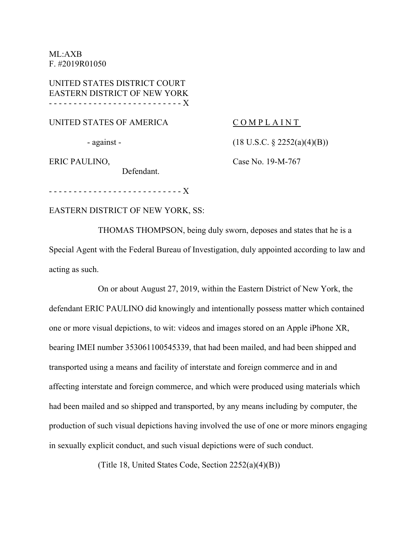ML:AXB F. #2019R01050

UNITED STATES DISTRICT COURT EASTERN DISTRICT OF NEW YORK - - - - - - - - - - - - - - - - - - - - - - - - - - - X

UNITED STATES OF AMERICA

- against -

COMPLAINT

(18 U.S.C. § 2252(a)(4)(B))

ERIC PAULINO,

Case No. 19-M-767

- - - - - - - - - - - - - - - - - - - - - - - - - - - X

EASTERN DISTRICT OF NEW YORK, SS:

Defendant.

THOMAS THOMPSON, being duly sworn, deposes and states that he is a Special Agent with the Federal Bureau of Investigation, duly appointed according to law and acting as such.

On or about August 27, 2019, within the Eastern District of New York, the defendant ERIC PAULINO did knowingly and intentionally possess matter which contained one or more visual depictions, to wit: videos and images stored on an Apple iPhone XR, bearing IMEI number 353061100545339, that had been mailed, and had been shipped and transported using a means and facility of interstate and foreign commerce and in and affecting interstate and foreign commerce, and which were produced using materials which had been mailed and so shipped and transported, by any means including by computer, the production of such visual depictions having involved the use of one or more minors engaging in sexually explicit conduct, and such visual depictions were of such conduct.

(Title 18, United States Code, Section 2252(a)(4)(B))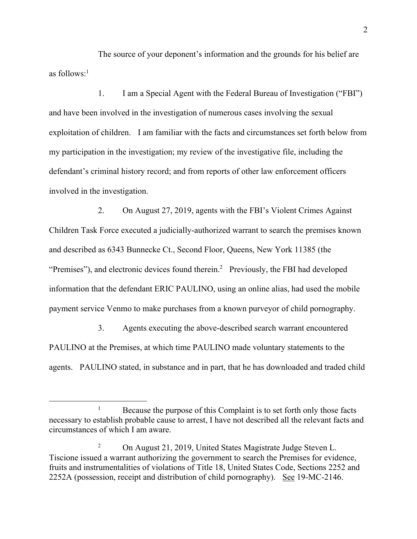The source of your deponent's information and the grounds for his belief are as follows: $<sup>1</sup>$ </sup>

1. I am a Special Agent with the Federal Bureau of Investigation ("FBI") and have been involved in the investigation of numerous cases involving the sexual exploitation of children. I am familiar with the facts and circumstances set forth below from my participation in the investigation; my review of the investigative file, including the defendant's criminal history record; and from reports of other law enforcement officers involved in the investigation.

2. On August 27, 2019, agents with the FBI's Violent Crimes Against Children Task Force executed a judicially-authorized warrant to search the premises known and described as 6343 Bunnecke Ct., Second Floor, Queens, New York 11385 (the "Premises"), and electronic devices found therein.<sup>2</sup> Previously, the FBI had developed information that the defendant ERIC PAULINO, using an online alias, had used the mobile payment service Venmo to make purchases from a known purveyor of child pornography.

3. Agents executing the above-described search warrant encountered PAULINO at the Premises, at which time PAULINO made voluntary statements to the agents. PAULINO stated, in substance and in part, that he has downloaded and traded child

<sup>&</sup>lt;u>1</u>  $B_1$  Because the purpose of this Complaint is to set forth only those facts necessary to establish probable cause to arrest, I have not described all the relevant facts and circumstances of which I am aware.

<sup>2</sup> On August 21, 2019, United States Magistrate Judge Steven L. Tiscione issued a warrant authorizing the government to search the Premises for evidence, fruits and instrumentalities of violations of Title 18, United States Code, Sections 2252 and 2252A (possession, receipt and distribution of child pornography). See 19-MC-2146.